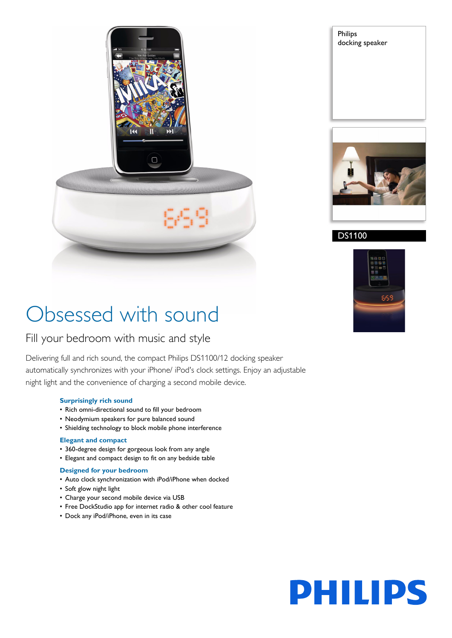

Philips docking speaker



## DS1100



# Obsessed with sound

## Fill your bedroom with music and style

Delivering full and rich sound, the compact Philips DS1100/12 docking speaker automatically synchronizes with your iPhone/ iPod's clock settings. Enjoy an adjustable night light and the convenience of charging a second mobile device.

### **Surprisingly rich sound**

- Rich omni-directional sound to fill your bedroom
- Neodymium speakers for pure balanced sound
- Shielding technology to block mobile phone interference

#### **Elegant and compact**

- 360-degree design for gorgeous look from any angle
- Elegant and compact design to fit on any bedside table

### **Designed for your bedroom**

- Auto clock synchronization with iPod/iPhone when docked
- Soft glow night light
- Charge your second mobile device via USB
- Free DockStudio app for internet radio & other cool feature
- Dock any iPod/iPhone, even in its case